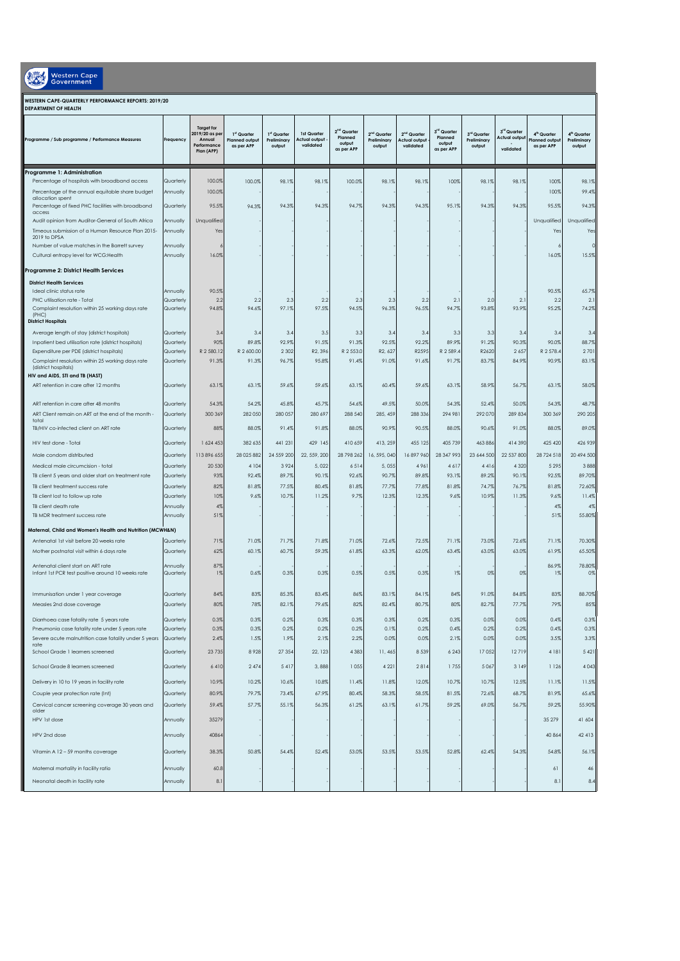## Western Cape

## **WESTERN CAPE-QUARTERLY PERFORMANCE REPORTS: 2019/20**

| DEPARTMENT OF HEALTH                                                                                     |                        |                                                                           |                                                    |                                                  |                                                  |                                                            |                                        |                                                       |                                                            |                                                  |                                                       |                                                         |                                                  |
|----------------------------------------------------------------------------------------------------------|------------------------|---------------------------------------------------------------------------|----------------------------------------------------|--------------------------------------------------|--------------------------------------------------|------------------------------------------------------------|----------------------------------------|-------------------------------------------------------|------------------------------------------------------------|--------------------------------------------------|-------------------------------------------------------|---------------------------------------------------------|--------------------------------------------------|
| Programme / Sub programme / Performance Measures                                                         | Frequency              | <b>Target for</b><br>2019/20 as pe<br>Annual<br>Performance<br>Plan (APP) | 1st Quarter<br><b>Planned output</b><br>as per APP | 1 <sup>st</sup> Quarter<br>Preliminary<br>output | 1st Quarter<br><b>Actual output</b><br>validated | 2 <sup>nd</sup> Quarter<br>Planned<br>output<br>as per APP | $2nd$ Quarter<br>Preliminary<br>output | 2 <sup>nd</sup> Quarter<br>Actual output<br>validated | 3 <sup>rd</sup> Quarter<br>Planned<br>output<br>as per APP | 3 <sup>rd</sup> Quarter<br>Preliminary<br>output | 3 <sup>rd</sup> Quarter<br>Actual output<br>validated | 4 <sup>th</sup> Quarter<br>Planned output<br>as per APP | 4 <sup>th</sup> Quarter<br>Preliminary<br>output |
| Programme 1: Administration                                                                              |                        |                                                                           |                                                    |                                                  |                                                  |                                                            |                                        |                                                       |                                                            |                                                  |                                                       |                                                         |                                                  |
| Percentage of hospitals with broadband access                                                            | Quarterly              | 100.0%                                                                    | 100.0%                                             | 98.1%                                            | 98.1%                                            | 100.0%                                                     | 98.1%                                  | 98.1%                                                 | 100%                                                       | 98.1%                                            | 98.1%                                                 | 100%                                                    | 98.1%                                            |
| Percentage of the annual equitable share budget                                                          | Annually               | 100.0%                                                                    |                                                    |                                                  |                                                  |                                                            |                                        |                                                       |                                                            |                                                  |                                                       | 100%                                                    | 99.4%                                            |
| allocation spent<br>Percentage of fixed PHC facilities with broadband                                    | Quarterly              | 95.5%                                                                     | 94.3%                                              | 94.3%                                            | 94.3%                                            | 94.7%                                                      | 94.3%                                  | 94.3%                                                 | 95.1%                                                      | 94.3%                                            | 94.3%                                                 | 95.5%                                                   | 94.3%                                            |
| access                                                                                                   |                        |                                                                           |                                                    |                                                  |                                                  |                                                            |                                        |                                                       |                                                            |                                                  |                                                       |                                                         |                                                  |
| Audit opinion from Auditor-General of South Africa                                                       | Annually               | Unaualified                                                               |                                                    |                                                  |                                                  |                                                            |                                        |                                                       |                                                            |                                                  |                                                       | Unqualified                                             | Unqualified                                      |
| Timeous submission of a Human Resource Plan 2015-<br>2019 to DPSA                                        | Annually               | Yes                                                                       |                                                    |                                                  |                                                  |                                                            |                                        |                                                       |                                                            |                                                  |                                                       | Ye:                                                     | Yes                                              |
| Number of value matches in the Barrett survey                                                            | Annually               |                                                                           |                                                    |                                                  |                                                  |                                                            |                                        |                                                       |                                                            |                                                  |                                                       |                                                         |                                                  |
| Cultural entropy level for WCG:Health                                                                    | Annually               | 16.0%                                                                     |                                                    |                                                  |                                                  |                                                            |                                        |                                                       |                                                            |                                                  |                                                       | 16.0%                                                   | 15.5%                                            |
| Programme 2: District Health Services                                                                    |                        |                                                                           |                                                    |                                                  |                                                  |                                                            |                                        |                                                       |                                                            |                                                  |                                                       |                                                         |                                                  |
|                                                                                                          |                        |                                                                           |                                                    |                                                  |                                                  |                                                            |                                        |                                                       |                                                            |                                                  |                                                       |                                                         |                                                  |
| <b>District Health Services</b><br>Ideal clinic status rate                                              | Annually               | 90.5%                                                                     |                                                    |                                                  |                                                  |                                                            |                                        |                                                       |                                                            |                                                  |                                                       | 90.5%                                                   | 65.7%                                            |
| PHC utilisation rate - Total                                                                             | Quarterly              | 2.2                                                                       | 2.2                                                | 2.3                                              | 2.2                                              | 2.3                                                        | 2.3                                    | 2.2                                                   | 2.1                                                        | 2.0                                              | 2.1                                                   | 2.2                                                     | 2.1                                              |
| Complaint resolution within 25 working days rate<br>(PHC)                                                | Quarterly              | 94.8%                                                                     | 94.6%                                              | 97.1%                                            | 97.5%                                            | 94.5%                                                      | 96.3%                                  | 96.5%                                                 | 94.7%                                                      | 93.8%                                            | 93.9%                                                 | 95.2%                                                   | 74.2%                                            |
| <b>District Hospitals</b>                                                                                |                        |                                                                           |                                                    |                                                  |                                                  |                                                            |                                        |                                                       |                                                            |                                                  |                                                       |                                                         |                                                  |
| Average length of stay (district hospitals)                                                              | Quarterly              | 3.4                                                                       | 3.4                                                | 3.4                                              | 3.5                                              | 3.3                                                        | 3.4                                    | 3.4                                                   | 3.3                                                        | 3.3                                              | 3.4                                                   | 3.4                                                     | 3.4                                              |
| Inpatient bed utilisation rate (district hospitals)                                                      | Quarterly              | 90%                                                                       | 89.8%                                              | 92.9%                                            | 91.5%                                            | 91.3%                                                      | 92.5%                                  | 92.2%                                                 | 89.9%                                                      | 91.2%                                            | 90.3%                                                 | 90.0%                                                   | 88.7%                                            |
| Expenditure per PDE (district hospitals)                                                                 | Quarterly              | R 2 580.12                                                                | R 2 600.00                                         | 2 3 0 2                                          | R2, 396                                          | R 2 553.0                                                  | R2, 627                                | R2595                                                 | R 2 589.4                                                  | R2620                                            | 2 6 5 7                                               | R 2 578.4                                               | 2701                                             |
| Complaint resolution within 25 working days rate<br>(district hospitals)                                 | Quarterly              | 91.3%                                                                     | 91.3%                                              | 96.7%                                            | 95.8%                                            | 91.4%                                                      | 91.0%                                  | 91.6%                                                 | 91.7%                                                      | 83.7%                                            | 84.9%                                                 | 90.9%                                                   | 83.1%                                            |
| HIV and AIDS, STI and TB (HAST)                                                                          |                        |                                                                           |                                                    |                                                  |                                                  |                                                            |                                        |                                                       |                                                            |                                                  |                                                       |                                                         |                                                  |
| ART retention in care after 12 months                                                                    | Quarterly              | 63.1%                                                                     | 63.1%                                              | 59.6%                                            | 59.6%                                            | 63.1%                                                      | 60.4%                                  | 59.6%                                                 | 63.1%                                                      | 58.9%                                            | 56.7%                                                 | 63.1%                                                   | 58.0%                                            |
| ART retention in care after 48 months                                                                    | Quarterly              | 54.3%                                                                     | 54.2%                                              | 45.8%                                            | 45.7%                                            | 54.6%                                                      | 49.5%                                  | 50.0%                                                 | 54.3%                                                      | 52.4%                                            | 50.0%                                                 | 54.3%                                                   | 48.7%                                            |
| ART Client remain on ART at the end of the month -                                                       | Quarterly              | 300 369                                                                   | 282 050                                            | 280 057                                          | 280 697                                          | 288 540                                                    | 285, 459                               | 288 336                                               | 294 981                                                    | 292 070                                          | 289 834                                               | 300 369                                                 | 290 205                                          |
| total<br>TB/HIV co-infected client on ART rate                                                           | Quarterly              | 88%                                                                       | 88.0%                                              | 91.4%                                            | 91.8%                                            | 88.0%                                                      | 90.9%                                  | 90.5%                                                 | 88.0%                                                      | 90.6%                                            | 91.0%                                                 | 88.0%                                                   | 89.0%                                            |
| HIV test done - Total                                                                                    | Quarterly              | 1 624 453                                                                 | 382 635                                            | 441 231                                          | 429 145                                          | 410 659                                                    | 413, 259                               | 455 125                                               | 405 739                                                    | 463 886                                          | 414 390                                               | 425 420                                                 | 426 939                                          |
| Male condom distributed                                                                                  | Quarterly              | 113 896 655                                                               | 28 025 882                                         | 24 559 200                                       | 22, 559, 200                                     | 28 798 262                                                 | 16, 595, 040                           | 16 897 960                                            | 28 347 993                                                 | 23 644 500                                       | 22 537 800                                            | 28 724 518                                              | 20 494 500                                       |
| Medical male circumcision - total                                                                        | Quarterly              | 20 530                                                                    | 4 104                                              | 3924                                             | 5,022                                            | 6514                                                       | 5,055                                  | 4961                                                  | 4617                                                       | 4416                                             | 4 3 2 0                                               | 5 2 9 5                                                 | 3888                                             |
| TB client 5 years and older start on treatment rate                                                      | Quarterly              | 93%                                                                       | 92.4%                                              | 89.7%                                            | 90.1%                                            | 92.6%                                                      | 90.7%                                  | 89.8%                                                 | 93.1%                                                      | 89.2%                                            | 90.1%                                                 | 92.5%                                                   | 89.70%                                           |
| TB client treatment success rate                                                                         | Quarterly              | 82%                                                                       | 81.8%                                              | 77.5%                                            | 80.4%                                            | 81.8%                                                      | 77.7%                                  | 77.8%                                                 | 81.8%                                                      | 74.7%                                            | 76.7%                                                 | 81.8%                                                   | 72.60%                                           |
| TB client lost to follow up rate                                                                         | Quarterly              | 10%                                                                       | 9.6%                                               | 10.7%                                            | 11.2%                                            | 9.7%                                                       | 12.3%                                  | 12.3%                                                 | 9.6%                                                       | 10.9%                                            | 11.3%                                                 | 9.6%                                                    | 11.4%                                            |
| TB client death rate                                                                                     | Annually               | 4%                                                                        |                                                    |                                                  |                                                  |                                                            |                                        |                                                       |                                                            |                                                  |                                                       | 4%                                                      | 4%                                               |
| TB MDR treatment success rate                                                                            | Annually               | 51%                                                                       |                                                    |                                                  |                                                  |                                                            |                                        |                                                       |                                                            |                                                  |                                                       | 51%                                                     | 55.80%                                           |
| Maternal, Child and Women's Health and Nutrition (MCWH&N)                                                |                        |                                                                           |                                                    |                                                  |                                                  |                                                            |                                        |                                                       |                                                            |                                                  |                                                       |                                                         |                                                  |
| Antenatal 1st visit before 20 weeks rate                                                                 | Quarterly              | 71%                                                                       | 71.0%                                              | 71.7%                                            | 71.8%                                            | 71.0%                                                      | 72.6%                                  | 72.5%                                                 | 71.1%                                                      | 73.0%                                            | 72.6%                                                 | 71.1%                                                   | 70.30%                                           |
| Mother postnatal visit within 6 days rate                                                                | Quarterly              | 62%                                                                       | 60.1%                                              | 60.7%                                            | 59.3%                                            | 61.8%                                                      | 63.3%                                  | 62.0%                                                 | 63.4%                                                      | 63.0%                                            | 63.0%                                                 | 61.9%                                                   | 65.50%                                           |
| Antenatal client start on ART rate                                                                       | Annually               | 87%                                                                       |                                                    |                                                  |                                                  |                                                            |                                        |                                                       |                                                            |                                                  |                                                       | 86.9%                                                   | 78.80%                                           |
| Infant 1st PCR test positive around 10 weeks rate                                                        | Quarterly              | $1\%$                                                                     | 0.6%                                               | 0.3%                                             | 0.3%                                             | 0.5%                                                       | 0.5%                                   | 0.3%                                                  | $1\%$                                                      | 0%                                               | 0%                                                    | $1\%$                                                   | 0%                                               |
| Immunisation under 1 year coverage                                                                       | Quarterly              | 84%                                                                       | 83%                                                | 85.3%                                            | 83.4%                                            | 86%                                                        | 83.1%                                  | 84.1%                                                 | 84%                                                        | 91.0%                                            | 84.8%                                                 | 83%                                                     | 88.70%                                           |
| Measles 2nd dose coverage                                                                                | Quarterly              | 80%                                                                       | 78%                                                | 82.1%                                            | 79.6%                                            | 82%                                                        | 82.4%                                  | 80.7%                                                 | 80%                                                        | 82.7%                                            | 77.7%                                                 | 79%                                                     | 85%                                              |
|                                                                                                          |                        |                                                                           |                                                    |                                                  |                                                  |                                                            |                                        |                                                       |                                                            |                                                  |                                                       |                                                         |                                                  |
| Diarrhoea case fatality rate 5 years rate                                                                | Quarterly              | 0.3%                                                                      | 0.3%                                               | 0.2%                                             | 0.3%                                             | 0.3%                                                       | 0.3%                                   | 0.2%                                                  | 0.3%                                                       | 0.0%                                             | 0.0%                                                  | 0.4%                                                    | 0.3%                                             |
| Pneumonia case fatality rate under 5 years rate<br>Severe acute malnutrition case fatality under 5 years | Quarterly<br>Quarterly | 0.3%<br>2.4%                                                              | 0.3%<br>1.5%                                       | 0.2%<br>1.9%                                     | 0.2%<br>2.1%                                     | 0.2%<br>2.2%                                               | 0.1%<br>0.0%                           | 0.2%<br>0.0%                                          | 0.4%<br>2.1%                                               | 0.2%<br>0.0%                                     | 0.2%<br>0.0%                                          | 0.4%<br>3.5%                                            | 0.3%<br>3.3%                                     |
| rate                                                                                                     |                        |                                                                           |                                                    |                                                  |                                                  |                                                            |                                        |                                                       |                                                            |                                                  |                                                       |                                                         |                                                  |
| School Grade 1 learners screened                                                                         | Quarterly              | 23 7 35                                                                   | 8928                                               | 27 354                                           | 22, 123                                          | 4 3 8 3                                                    | 11,465                                 | 8 5 3 9                                               | 6 2 4 3                                                    | 17052                                            | 12719                                                 | 4 1 8 1                                                 | 5 4 2 1                                          |
| School Grade 8 learners screened                                                                         | Quarterly              | 6410                                                                      | 2 4 7 4                                            | 5 4 1 7                                          | 3,888                                            | 1055                                                       | 4 2 2 1                                | 2814                                                  | 1755                                                       | 5067                                             | 3 1 4 9                                               | 1 1 2 6                                                 | 4 0 4 3                                          |
| Delivery in 10 to 19 years in facility rate                                                              | Quarterly              | 10.9%                                                                     | 10.2%                                              | 10.6%                                            | 10.8%                                            | 11.4%                                                      | 11.8%                                  | 12.0%                                                 | 10.7%                                                      | 10.7%                                            | 12.5%                                                 | 11.1%                                                   | 11.5%                                            |
| Couple year protection rate (Int)                                                                        | Quarterly              | 80.9%                                                                     | 79.7%                                              | 73.4%                                            | 67.9%                                            | 80.4%                                                      | 58.3%                                  | 58.5%                                                 | 81.5%                                                      | 72.6%                                            | 68.7%                                                 | 81.9%                                                   | 65.6%                                            |
| Cervical cancer screening coverage 30 years and                                                          | Quarterly              | 59.4%                                                                     | 57.7%                                              | 55.1%                                            | 56.3%                                            | 61.2%                                                      | 63.1%                                  | 61.7%                                                 | 59.2%                                                      | 69.0%                                            | 56.7%                                                 | 59.2%                                                   | 55.90%                                           |
| older<br>HPV 1st dose                                                                                    | Annually               | 35279                                                                     |                                                    |                                                  |                                                  |                                                            |                                        |                                                       |                                                            |                                                  |                                                       | 35 279                                                  | 41 604                                           |
| HPV 2nd dose                                                                                             | Annually               | 40864                                                                     |                                                    |                                                  |                                                  |                                                            |                                        |                                                       |                                                            |                                                  |                                                       | 40 864                                                  | 42 413                                           |
| Vitamin A 12 - 59 months coverage                                                                        | Quarterly              | 38.3%                                                                     | 50.8%                                              | 54.4%                                            | 52.4%                                            | 53.0%                                                      | 53.5%                                  | 53.5%                                                 | 52.8%                                                      | 62.4%                                            | 54.3%                                                 | 54.8%                                                   | 56.1%                                            |
| Maternal mortality in facility ratio                                                                     | Annually               | 60.8                                                                      |                                                    |                                                  |                                                  |                                                            |                                        |                                                       |                                                            |                                                  |                                                       | 61                                                      | 46                                               |
| Neonatal death in facility rate                                                                          | Annually               | 8.1                                                                       |                                                    |                                                  |                                                  |                                                            |                                        |                                                       |                                                            |                                                  |                                                       | 8.1                                                     | 8.4                                              |
|                                                                                                          |                        |                                                                           |                                                    |                                                  |                                                  |                                                            |                                        |                                                       |                                                            |                                                  |                                                       |                                                         |                                                  |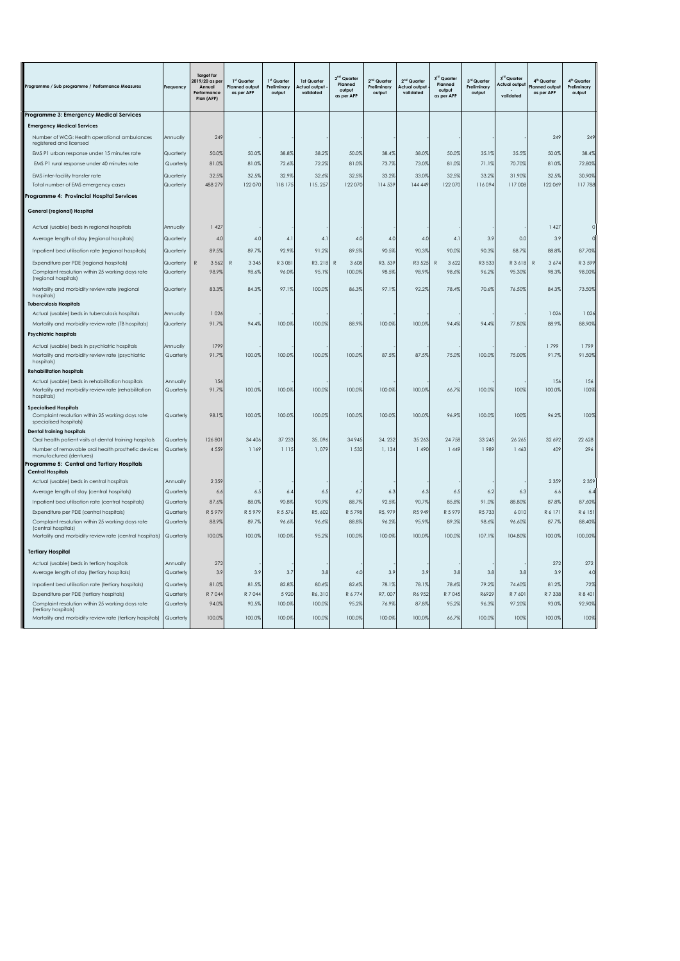| Programme / Sub programme / Performance Measures                                            | Frequency | <b>Target for</b><br>2019/20 as pe<br>Annual<br>Performance<br>Plan (APP) | 1st Quarter<br><b>Planned output</b><br>as per APP | 1st Quarter<br>Preliminary<br>output | 1st Quarter<br>Actual output<br>validated | 2 <sup>nd</sup> Quarter<br>Planned<br>output<br>as per APP | 2 <sup>nd</sup> Quarter<br>Preliminary<br>output | 2 <sup>nd</sup> Quarter<br><b>Actual output</b><br>validated | 3 <sup>rd</sup> Quarter<br>Planned<br>output<br>as per APP | 3 <sup>rd</sup> Quarter<br>Preliminary<br>output | 3 <sup>rd</sup> Quarter<br><b>Actual outpu</b><br>validated | 4 <sup>th</sup> Quarter<br>lanned output<br>as per APP | 4 <sup>th</sup> Quarter<br>Preliminary<br>output |
|---------------------------------------------------------------------------------------------|-----------|---------------------------------------------------------------------------|----------------------------------------------------|--------------------------------------|-------------------------------------------|------------------------------------------------------------|--------------------------------------------------|--------------------------------------------------------------|------------------------------------------------------------|--------------------------------------------------|-------------------------------------------------------------|--------------------------------------------------------|--------------------------------------------------|
| Programme 3: Emergency Medical Services                                                     |           |                                                                           |                                                    |                                      |                                           |                                                            |                                                  |                                                              |                                                            |                                                  |                                                             |                                                        |                                                  |
| <b>Emergency Medical Services</b>                                                           |           |                                                                           |                                                    |                                      |                                           |                                                            |                                                  |                                                              |                                                            |                                                  |                                                             |                                                        |                                                  |
| Number of WCG: Health operational ambulances<br>registered and licensed                     | Annually  | 249                                                                       |                                                    |                                      |                                           |                                                            |                                                  |                                                              |                                                            |                                                  |                                                             | 249                                                    | 249                                              |
| EMS P1 urban response under 15 minutes rate                                                 | Quarterly | 50.0%                                                                     | 50.0%                                              | 38.8%                                | 38.2%                                     | 50.0%                                                      | 38.4%                                            | 38.0%                                                        | 50.0%                                                      | 35.1%                                            | 35.5%                                                       | 50.0%                                                  | 38.4%                                            |
| EMS P1 rural response under 40 minutes rate                                                 | Quarterly | 81.0%                                                                     | 81.0%                                              | 72.6%                                | 72.2%                                     | 81.0%                                                      | 73.7%                                            | 73.0%                                                        | 81.0%                                                      | 71.1%                                            | 70.70%                                                      | 81.0%                                                  | 72.80%                                           |
| EMS inter-facility transfer rate                                                            | Quarterly | 32.5%                                                                     | 32.5%                                              | 32.9%                                | 32.6%                                     | 32.5%                                                      | 33.2%                                            | 33.0%                                                        | 32.5%                                                      | 33.2%                                            | 31.90%                                                      | 32.5%                                                  | 30.90%                                           |
| Total number of EMS emergency cases                                                         | Quarterly | 488 279                                                                   | 122 070                                            | 118 175                              | 115, 257                                  | 122.070                                                    | 114 539                                          | 144 449                                                      | 122.070                                                    | 116094                                           | 117008                                                      | 122.069                                                | 117788                                           |
| Programme 4: Provincial Hospital Services                                                   |           |                                                                           |                                                    |                                      |                                           |                                                            |                                                  |                                                              |                                                            |                                                  |                                                             |                                                        |                                                  |
| General (regional) Hospital                                                                 |           |                                                                           |                                                    |                                      |                                           |                                                            |                                                  |                                                              |                                                            |                                                  |                                                             |                                                        |                                                  |
| Actual (usable) beds in regional hospitals                                                  | Annually  | 1427                                                                      |                                                    |                                      |                                           |                                                            |                                                  |                                                              |                                                            |                                                  |                                                             | 1427                                                   | $\mathcal{C}$                                    |
| Average length of stay (regional hospitals)                                                 | Quarterly | 4.0                                                                       | 4.0                                                | 4.1                                  | 4.1                                       | 4 <sub>c</sub>                                             | 4.0                                              | 4.0                                                          | 4.1                                                        | 3.9                                              | 0.0                                                         | 3.9                                                    |                                                  |
| Inpatient bed utilisation rate (regional hospitals)                                         | Quarterly | 89.5%                                                                     | 89.7%                                              | 92.9%                                | 91.2%                                     | 89.5%                                                      | 90.5%                                            | 90.3%                                                        | 90.0%                                                      | 90.3%                                            | 88.7%                                                       | 88.8%                                                  | 87.70%                                           |
| Expenditure per PDE (regional hospitals)                                                    | Quarterly | 3 5 6 2                                                                   | $\mathbb{R}$<br>3 3 45                             | R 3 081                              | R3.218                                    | $\mathbb{R}$<br>3 608                                      | R3, 539                                          | R3 525                                                       | $\mathbb{R}$<br>3 6 2 2                                    | R3 533                                           | R 3 618                                                     | $\mathbb{R}$<br>3674                                   | R 3 599                                          |
| Complaint resolution within 25 working days rate<br>(regional hospitals)                    | Quarterly | 98.9%                                                                     | 98.6%                                              | 96.0%                                | 95.1%                                     | 100.0%                                                     | 98.5%                                            | 98.9%                                                        | 98.6%                                                      | 96.2%                                            | 95.30%                                                      | 98.3%                                                  | 98.00%                                           |
| Mortality and morbidity review rate (regional<br>hospitals)                                 | Quarterly | 83.3%                                                                     | 84.3%                                              | 97.1%                                | 100.0%                                    | 86.3%                                                      | 97.1%                                            | 92.2%                                                        | 78.4%                                                      | 70.6%                                            | 76.50%                                                      | 84.3%                                                  | 73.50%                                           |
| <b>Tuberculosis Hospitals</b>                                                               |           |                                                                           |                                                    |                                      |                                           |                                                            |                                                  |                                                              |                                                            |                                                  |                                                             |                                                        |                                                  |
| Actual (usable) beds in tuberculosis hospitals                                              | Annually  | 1026                                                                      |                                                    |                                      |                                           |                                                            |                                                  |                                                              |                                                            |                                                  |                                                             | 1026                                                   | 1 0 2 6                                          |
| Mortality and morbidity review rate (TB hospitals)                                          | Quarterly | 91.7%                                                                     | 94.4%                                              | 100.0%                               | 100.0%                                    | 88.9%                                                      | 100.0%                                           | 100.0%                                                       | 94.4%                                                      | 94.4%                                            | 77.80%                                                      | 88.9%                                                  | 88.90%                                           |
| <b>Psychiatric hospitals</b>                                                                |           |                                                                           |                                                    |                                      |                                           |                                                            |                                                  |                                                              |                                                            |                                                  |                                                             |                                                        |                                                  |
| Actual (usable) beds in psychiatric hospitals                                               | Annually  | 1799                                                                      |                                                    |                                      |                                           |                                                            |                                                  |                                                              |                                                            |                                                  |                                                             | 1799                                                   | 1799                                             |
| Mortality and morbidity review rate (psychiatric<br>hospitals)                              | Quarterly | 91.7%                                                                     | 100.0%                                             | 100.0%                               | 100.0%                                    | 100.0%                                                     | 87.5%                                            | 87.5%                                                        | 75.0%                                                      | 100.0%                                           | 75.00%                                                      | 91.7%                                                  | 91.50%                                           |
| <b>Rehabilitation hospitals</b>                                                             |           |                                                                           |                                                    |                                      |                                           |                                                            |                                                  |                                                              |                                                            |                                                  |                                                             |                                                        |                                                  |
| Actual (usable) beds in rehabilitation hospitals                                            | Annually  | 156                                                                       |                                                    |                                      |                                           |                                                            |                                                  |                                                              |                                                            |                                                  |                                                             | 156                                                    | 156                                              |
| Mortality and morbidity review rate (rehabilitation<br>hospitals)                           | Quarterly | 91.7%                                                                     | 100.0%                                             | 100.0%                               | 100.0%                                    | 100.0%                                                     | 100.0%                                           | 100.0%                                                       | 66.7%                                                      | 100.0%                                           | 100%                                                        | 100.0%                                                 | 100%                                             |
| <b>Specialised Hospitals</b><br>Complaint resolution within 25 working days rate            | Quarterly | 98.1%                                                                     | 100.0%                                             | 100.0%                               | 100.0%                                    | 100.0%                                                     | 100.0%                                           | 100.0%                                                       | 96.9%                                                      | 100.0%                                           | 100%                                                        | 96.2%                                                  | 100%                                             |
| specialised hospitals)                                                                      |           |                                                                           |                                                    |                                      |                                           |                                                            |                                                  |                                                              |                                                            |                                                  |                                                             |                                                        |                                                  |
| <b>Dental training hospitals</b><br>Oral health patient visits at dental training hospitals | Quarterly | 126 801                                                                   | 34 406                                             | 37 233                               | 35,096                                    | 34 945                                                     | 34, 232                                          | 35 26 3                                                      | 24 7 58                                                    | 33 245                                           | 26 265                                                      | 32 692                                                 | 22 6 28                                          |
| Number of removable oral health prosthetic devices<br>manufactured (dentures)               | Quarterly | 4 5 5 9                                                                   | 1 169                                              | 1 1 1 5                              | 1,079                                     | 1 5 3 2                                                    | 1,134                                            | 1 490                                                        | 1449                                                       | 1989                                             | 1463                                                        | 409                                                    | 296                                              |
| Programme 5: Central and Tertiary Hospitals                                                 |           |                                                                           |                                                    |                                      |                                           |                                                            |                                                  |                                                              |                                                            |                                                  |                                                             |                                                        |                                                  |
| <b>Central Hospitals</b>                                                                    |           |                                                                           |                                                    |                                      |                                           |                                                            |                                                  |                                                              |                                                            |                                                  |                                                             |                                                        |                                                  |
| Actual (usable) beds in central hospitals                                                   | Annually  | 2 3 5 9                                                                   |                                                    |                                      |                                           |                                                            |                                                  |                                                              |                                                            |                                                  |                                                             | 2 3 5 9                                                | 2 3 5 9                                          |
| Average length of stay (central hospitals)                                                  | Quarterly | 6.6                                                                       | 6.5                                                | 6.                                   | 6.5                                       | 6.5                                                        | 6.3                                              | 6.3                                                          | 6.5                                                        | 6.2                                              | 6.3                                                         | 6.6                                                    | 6.4                                              |
| Inpatient bed utilisation rate (central hospitals)                                          | Quarterly | 87.6%                                                                     | 88.0%                                              | 90.8%                                | 90.9%                                     | 88.7%                                                      | 92.5%                                            | 90.7%                                                        | 85.8%                                                      | 91.0%                                            | 88.80%                                                      | 87.8%                                                  | 87.60%                                           |
| Expenditure per PDE (central hospitals)<br>Complaint resolution within 25 working days rate | Quarterly | R 5 979<br>88.9%                                                          | R 5 979<br>89.7%                                   | R 5 576<br>96.69                     | R5, 602<br>96.6%                          | R 5798<br>88.8%                                            | R5, 979<br>96.2%                                 | R5 949<br>95.9%                                              | R 5 979<br>89.3%                                           | R5733<br>98.6%                                   | 6010<br>96.60%                                              | R 6 171<br>87.7%                                       | R 6 151<br>88.40%                                |
| (central hospitals)                                                                         | Quarterly |                                                                           |                                                    |                                      |                                           |                                                            |                                                  |                                                              |                                                            |                                                  |                                                             |                                                        |                                                  |
| Mortality and morbidity review rate (central hospitals)                                     | Quarterly | 100.0%                                                                    | 100.0%                                             | 100.0%                               | 95.2%                                     | 100.0%                                                     | 100.0%                                           | 100.0%                                                       | 100.0%                                                     | 107.1%                                           | 104.80%                                                     | 100.0%                                                 | 100.00%                                          |
| <b>Tertiary Hospital</b>                                                                    |           |                                                                           |                                                    |                                      |                                           |                                                            |                                                  |                                                              |                                                            |                                                  |                                                             |                                                        |                                                  |
| Actual (usable) beds in tertiary hospitals                                                  | Annually  | 272                                                                       |                                                    |                                      |                                           |                                                            |                                                  |                                                              |                                                            |                                                  |                                                             | 272                                                    | 272                                              |
| Average length of stay (tertiary hospitals)                                                 | Quarterly | 3.9                                                                       | 3.9                                                | 3.7                                  | 3.8                                       | 4.0                                                        | 3.9                                              | 3.9                                                          | 3.8                                                        | 3.8                                              | 3.8                                                         | 3.9                                                    | 4 <sub>c</sub>                                   |
| Inpatient bed utilisation rate (tertiary hospitals)                                         | Quarterly | 81.0%                                                                     | 81.5%                                              | 82.8%                                | 80.6%                                     | 82.6%                                                      | 78.1%                                            | 78.1%                                                        | 78.6%                                                      | 79.2%                                            | 74.60%                                                      | 81.2%                                                  | 72%                                              |
| Expenditure per PDE (tertiary hospitals)                                                    | Quarterly | R 7 044                                                                   | R 7 044                                            | 5920                                 | R6, 310                                   | R 6 774                                                    | R7,007                                           | R6 952                                                       | R 7 045                                                    | R6929                                            | R 7 601                                                     | R 7 338                                                | R 8 401                                          |
| Complaint resolution within 25 working days rate<br>(tertiary hospitals)                    | Quarterly | 94.0%                                                                     | 90.5%                                              | 100.0%                               | 100.0%                                    | 95.2%                                                      | 76.9%                                            | 87.8%                                                        | 95.2%                                                      | 96.3%                                            | 97.20%                                                      | 93.0%                                                  | 92.90%                                           |
| Mortality and morbidity review rate (tertiary hospitals)                                    | Quarterly | 100.0%                                                                    | 100.0%                                             | 100.0%                               | 100.0%                                    | 100.0%                                                     | 100.0%                                           | 100.0%                                                       | 66.7%                                                      | 100.0%                                           | 100%                                                        | 100.0%                                                 | 100%                                             |